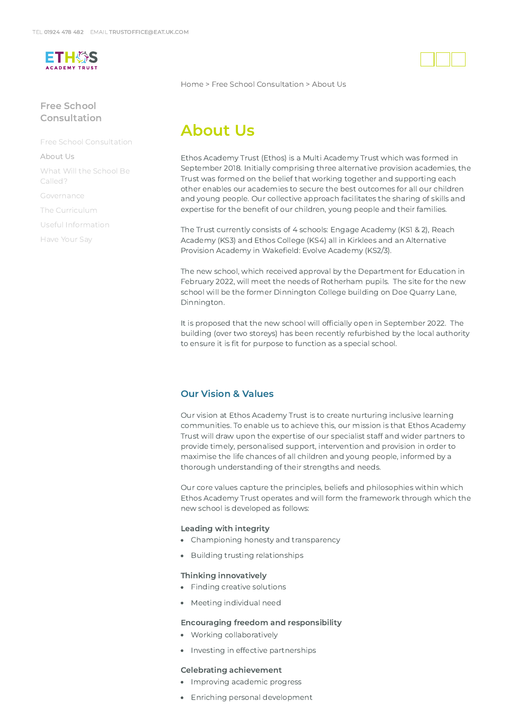

# Free School [Consultation](https://www.eat.uk.com/free-school-consultation/)

Free School [Consultation](https://www.eat.uk.com/free-school-consultation/)

#### [About](https://www.eat.uk.com/free-school-consultation/about-us/) Us

What Will the School Be [Called?](https://www.eat.uk.com/free-school-consultation/what-will-the-school-be-called/)

[Governance](https://www.eat.uk.com/free-school-consultation/governance/)

The [Curriculum](https://www.eat.uk.com/free-school-consultation/the-curriculum/)

Useful [Information](https://www.eat.uk.com/free-school-consultation/useful-information/)

[Have](https://www.eat.uk.com/free-school-consultation/have-your-say/) Your Say

[Home](https://www.eat.uk.com/) > Free School [Consultation](https://www.eat.uk.com/free-school-consultation/) > About Us

# About Us

Ethos Academy Trust (Ethos) is a Multi Academy Trust which was formed in September 2018. Initially comprising three alternative provision academies, the Trust was formed on the belief that working together and supporting each other enables our academies to secure the best outcomes for all our children and young people. Our collective approach facilitates the sharing of skills and expertise for the benefit of our children, young people and their families.

The Trust currently consists of 4 schools: Engage Academy (KS1 & 2), Reach Academy (KS3) and Ethos College (KS4) all in Kirklees and an Alternative Provision Academy in Wakefield: Evolve Academy (KS2/3).

The new school, which received approval by the Department for Education in February 2022, will meet the needs of Rotherham pupils. The site for the new school will be the former Dinnington College building on Doe Quarry Lane, Dinnington.

It is proposed that the new school will officially open in September 2022. The building (over two storeys) has been recently refurbished by the local authority to ensure it is fit for purpose to function as a special school.

### Our Vision & Values

Our vision at Ethos Academy Trust is to create nurturing inclusive learning communities. To enable us to achieve this, our mission is that Ethos Academy Trust will draw upon the expertise of our specialist staff and wider partners to provide timely, personalised support, intervention and provision in order to maximise the life chances of all children and young people, informed by a thorough understanding of their strengths and needs.

Our core values capture the principles, beliefs and philosophies within which Ethos Academy Trust operates and will form the framework through which the new school is developed as follows:

### Leading with integrity

- Championing honesty and transparency
- Building trusting relationships

### Thinking innovatively

- Finding creative solutions
- Meeting individual need

### Encouraging freedom and responsibility

- Working collaboratively
- Investing in effective partnerships

#### Celebrating achievement

- Improving academic progress
- Enriching personal development